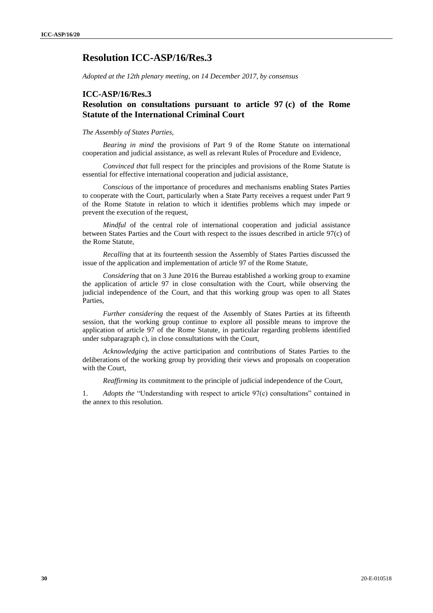# **Resolution ICC-ASP/16/Res.3**

*Adopted at the 12th plenary meeting, on 14 December 2017, by consensus*

### **ICC-ASP/16/Res.3**

### **Resolution on consultations pursuant to article 97 (c) of the Rome Statute of the International Criminal Court**

#### *The Assembly of States Parties,*

*Bearing in mind* the provisions of Part 9 of the Rome Statute on international cooperation and judicial assistance, as well as relevant Rules of Procedure and Evidence,

*Convinced that* full respect for the principles and provisions of the Rome Statute is essential for effective international cooperation and judicial assistance,

*Conscious* of the importance of procedures and mechanisms enabling States Parties to cooperate with the Court, particularly when a State Party receives a request under Part 9 of the Rome Statute in relation to which it identifies problems which may impede or prevent the execution of the request,

*Mindful* of the central role of international cooperation and judicial assistance between States Parties and the Court with respect to the issues described in article 97(c) of the Rome Statute,

*Recalling* that at its fourteenth session the Assembly of States Parties discussed the issue of the application and implementation of article 97 of the Rome Statute,

*Considering* that on 3 June 2016 the Bureau established a working group to examine the application of article 97 in close consultation with the Court, while observing the judicial independence of the Court, and that this working group was open to all States Parties,

*Further considering* the request of the Assembly of States Parties at its fifteenth session, that the working group continue to explore all possible means to improve the application of article 97 of the Rome Statute, in particular regarding problems identified under subparagraph c), in close consultations with the Court,

*Acknowledging* the active participation and contributions of States Parties to the deliberations of the working group by providing their views and proposals on cooperation with the Court,

*Reaffirming* its commitment to the principle of judicial independence of the Court,

1. *Adopts the* "Understanding with respect to article 97(c) consultations" contained in the annex to this resolution.